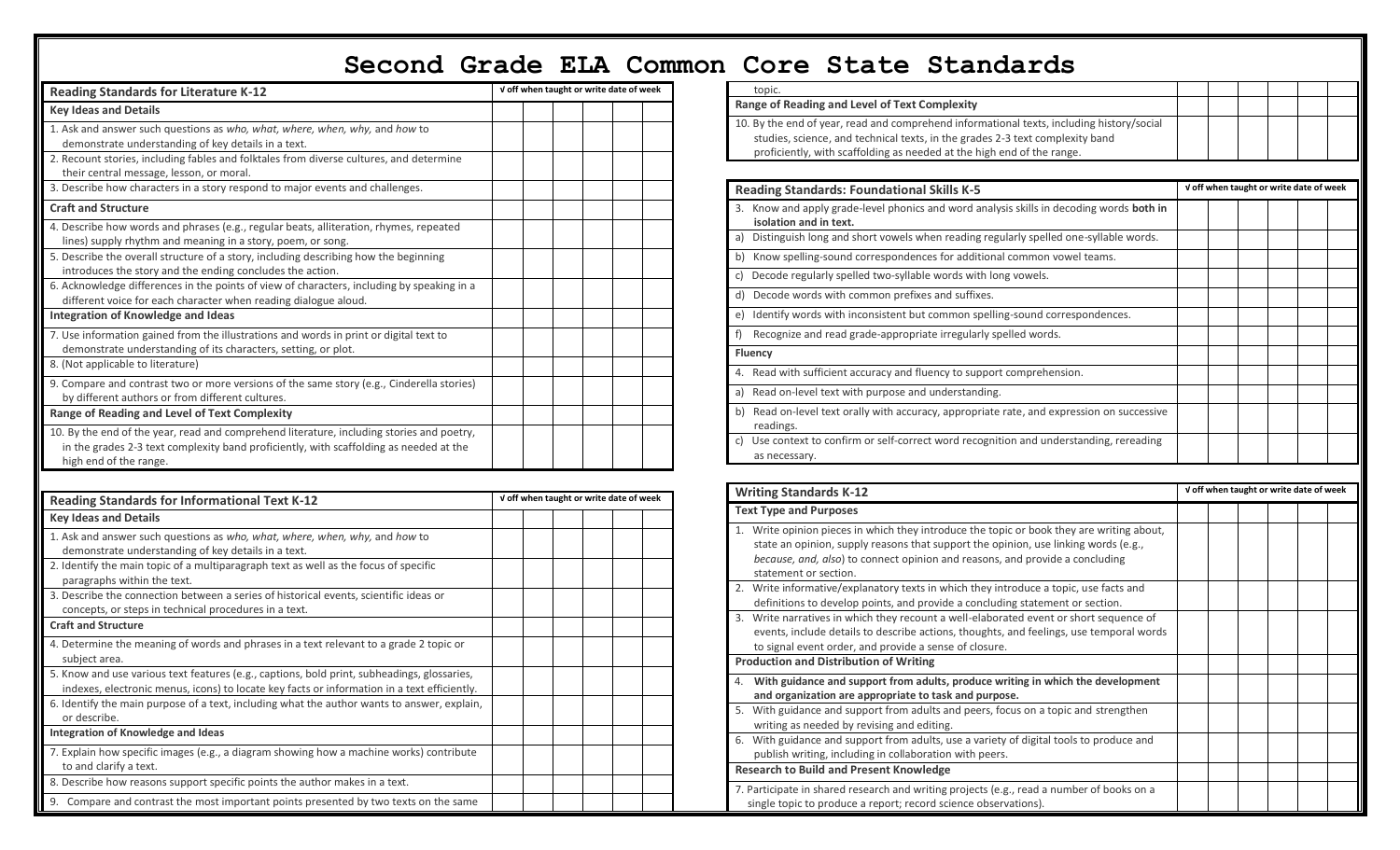## **Second Grade ELA Common Core State Standards**

| <b>Reading Standards for Literature K-12</b>                                                                                                                                                                  | V off when taught or write date of week |  |  |  |  |  |  |  |  |
|---------------------------------------------------------------------------------------------------------------------------------------------------------------------------------------------------------------|-----------------------------------------|--|--|--|--|--|--|--|--|
| <b>Key Ideas and Details</b>                                                                                                                                                                                  |                                         |  |  |  |  |  |  |  |  |
| 1. Ask and answer such questions as who, what, where, when, why, and how to<br>demonstrate understanding of key details in a text.                                                                            |                                         |  |  |  |  |  |  |  |  |
| 2. Recount stories, including fables and folktales from diverse cultures, and determine<br>their central message, lesson, or moral.                                                                           |                                         |  |  |  |  |  |  |  |  |
| 3. Describe how characters in a story respond to major events and challenges.                                                                                                                                 |                                         |  |  |  |  |  |  |  |  |
| <b>Craft and Structure</b>                                                                                                                                                                                    |                                         |  |  |  |  |  |  |  |  |
| 4. Describe how words and phrases (e.g., regular beats, alliteration, rhymes, repeated<br>lines) supply rhythm and meaning in a story, poem, or song.                                                         |                                         |  |  |  |  |  |  |  |  |
| 5. Describe the overall structure of a story, including describing how the beginning<br>introduces the story and the ending concludes the action.                                                             |                                         |  |  |  |  |  |  |  |  |
| 6. Acknowledge differences in the points of view of characters, including by speaking in a<br>different voice for each character when reading dialogue aloud.                                                 |                                         |  |  |  |  |  |  |  |  |
| Integration of Knowledge and Ideas                                                                                                                                                                            |                                         |  |  |  |  |  |  |  |  |
| 7. Use information gained from the illustrations and words in print or digital text to<br>demonstrate understanding of its characters, setting, or plot.                                                      |                                         |  |  |  |  |  |  |  |  |
| 8. (Not applicable to literature)                                                                                                                                                                             |                                         |  |  |  |  |  |  |  |  |
| 9. Compare and contrast two or more versions of the same story (e.g., Cinderella stories)<br>by different authors or from different cultures.                                                                 |                                         |  |  |  |  |  |  |  |  |
| Range of Reading and Level of Text Complexity                                                                                                                                                                 |                                         |  |  |  |  |  |  |  |  |
| 10. By the end of the year, read and comprehend literature, including stories and poetry,<br>in the grades 2-3 text complexity band proficiently, with scaffolding as needed at the<br>high end of the range. |                                         |  |  |  |  |  |  |  |  |

| <b>Reading Standards for Informational Text K-12</b>                                                                                                                                       | V off when taught or write date of week |  |  |  |  |  |  |  |
|--------------------------------------------------------------------------------------------------------------------------------------------------------------------------------------------|-----------------------------------------|--|--|--|--|--|--|--|
| <b>Key Ideas and Details</b>                                                                                                                                                               |                                         |  |  |  |  |  |  |  |
| 1. Ask and answer such questions as who, what, where, when, why, and how to<br>demonstrate understanding of key details in a text.                                                         |                                         |  |  |  |  |  |  |  |
| 2. Identify the main topic of a multiparagraph text as well as the focus of specific<br>paragraphs within the text.                                                                        |                                         |  |  |  |  |  |  |  |
| 3. Describe the connection between a series of historical events, scientific ideas or<br>concepts, or steps in technical procedures in a text.                                             |                                         |  |  |  |  |  |  |  |
| <b>Craft and Structure</b>                                                                                                                                                                 |                                         |  |  |  |  |  |  |  |
| 4. Determine the meaning of words and phrases in a text relevant to a grade 2 topic or<br>subject area.                                                                                    |                                         |  |  |  |  |  |  |  |
| 5. Know and use various text features (e.g., captions, bold print, subheadings, glossaries,<br>indexes, electronic menus, icons) to locate key facts or information in a text efficiently. |                                         |  |  |  |  |  |  |  |
| 6. Identify the main purpose of a text, including what the author wants to answer, explain,<br>or describe.                                                                                |                                         |  |  |  |  |  |  |  |
| Integration of Knowledge and Ideas                                                                                                                                                         |                                         |  |  |  |  |  |  |  |
| 7. Explain how specific images (e.g., a diagram showing how a machine works) contribute<br>to and clarify a text.                                                                          |                                         |  |  |  |  |  |  |  |
| 8. Describe how reasons support specific points the author makes in a text.                                                                                                                |                                         |  |  |  |  |  |  |  |
| 9. Compare and contrast the most important points presented by two texts on the same                                                                                                       |                                         |  |  |  |  |  |  |  |

|                | COIE SLALE SLANUAIUS                                                                                                                                                                                                                                 |  |                                         |  |  |
|----------------|------------------------------------------------------------------------------------------------------------------------------------------------------------------------------------------------------------------------------------------------------|--|-----------------------------------------|--|--|
| topic.         |                                                                                                                                                                                                                                                      |  |                                         |  |  |
|                | Range of Reading and Level of Text Complexity                                                                                                                                                                                                        |  |                                         |  |  |
|                | 10. By the end of year, read and comprehend informational texts, including history/social<br>studies, science, and technical texts, in the grades 2-3 text complexity band<br>proficiently, with scaffolding as needed at the high end of the range. |  |                                         |  |  |
|                | <b>Reading Standards: Foundational Skills K-5</b>                                                                                                                                                                                                    |  | V off when taught or write date of week |  |  |
|                | 3. Know and apply grade-level phonics and word analysis skills in decoding words both in<br>isolation and in text.                                                                                                                                   |  |                                         |  |  |
|                | a) Distinguish long and short vowels when reading regularly spelled one-syllable words.                                                                                                                                                              |  |                                         |  |  |
|                | b) Know spelling-sound correspondences for additional common vowel teams.                                                                                                                                                                            |  |                                         |  |  |
|                | c) Decode regularly spelled two-syllable words with long vowels.                                                                                                                                                                                     |  |                                         |  |  |
|                | d) Decode words with common prefixes and suffixes.                                                                                                                                                                                                   |  |                                         |  |  |
|                | e) Identify words with inconsistent but common spelling-sound correspondences.                                                                                                                                                                       |  |                                         |  |  |
| $f$ )          | Recognize and read grade-appropriate irregularly spelled words.                                                                                                                                                                                      |  |                                         |  |  |
| <b>Fluency</b> |                                                                                                                                                                                                                                                      |  |                                         |  |  |
|                | 4. Read with sufficient accuracy and fluency to support comprehension.                                                                                                                                                                               |  |                                         |  |  |
|                | a) Read on-level text with purpose and understanding.                                                                                                                                                                                                |  |                                         |  |  |
| readings.      | b) Read on-level text orally with accuracy, appropriate rate, and expression on successive                                                                                                                                                           |  |                                         |  |  |
| C)             | Use context to confirm or self-correct word recognition and understanding, rereading<br>as necessary.                                                                                                                                                |  |                                         |  |  |

| <b>Writing Standards K-12</b>                                                                                                                                                                                                                                                             | V off when taught or write date of week |  |  |  |  |  |  |  |
|-------------------------------------------------------------------------------------------------------------------------------------------------------------------------------------------------------------------------------------------------------------------------------------------|-----------------------------------------|--|--|--|--|--|--|--|
| <b>Text Type and Purposes</b>                                                                                                                                                                                                                                                             |                                         |  |  |  |  |  |  |  |
| 1. Write opinion pieces in which they introduce the topic or book they are writing about,<br>state an opinion, supply reasons that support the opinion, use linking words (e.g.,<br>because, and, also) to connect opinion and reasons, and provide a concluding<br>statement or section. |                                         |  |  |  |  |  |  |  |
| 2. Write informative/explanatory texts in which they introduce a topic, use facts and<br>definitions to develop points, and provide a concluding statement or section.                                                                                                                    |                                         |  |  |  |  |  |  |  |
| Write narratives in which they recount a well-elaborated event or short sequence of<br>3.<br>events, include details to describe actions, thoughts, and feelings, use temporal words<br>to signal event order, and provide a sense of closure.                                            |                                         |  |  |  |  |  |  |  |
| <b>Production and Distribution of Writing</b>                                                                                                                                                                                                                                             |                                         |  |  |  |  |  |  |  |
| 4. With guidance and support from adults, produce writing in which the development<br>and organization are appropriate to task and purpose.                                                                                                                                               |                                         |  |  |  |  |  |  |  |
| 5. With guidance and support from adults and peers, focus on a topic and strengthen<br>writing as needed by revising and editing.                                                                                                                                                         |                                         |  |  |  |  |  |  |  |
| 6. With guidance and support from adults, use a variety of digital tools to produce and<br>publish writing, including in collaboration with peers.                                                                                                                                        |                                         |  |  |  |  |  |  |  |
| <b>Research to Build and Present Knowledge</b>                                                                                                                                                                                                                                            |                                         |  |  |  |  |  |  |  |
| 7. Participate in shared research and writing projects (e.g., read a number of books on a<br>single topic to produce a report; record science observations).                                                                                                                              |                                         |  |  |  |  |  |  |  |